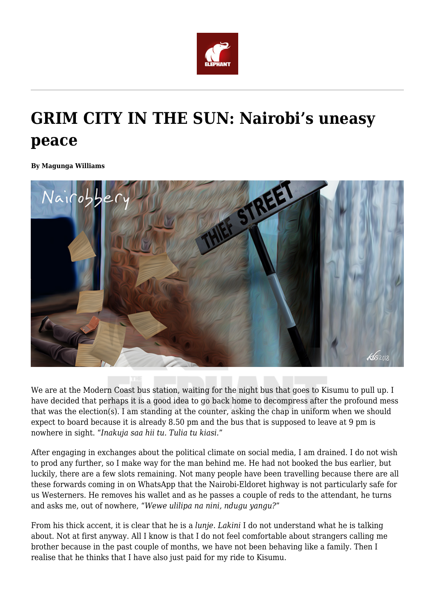

## **GRIM CITY IN THE SUN: Nairobi's uneasy peace**

**By Magunga Williams**



We are at the Modern Coast bus station, waiting for the night bus that goes to Kisumu to pull up. I have decided that perhaps it is a good idea to go back home to decompress after the profound mess that was the election(s). I am standing at the counter, asking the chap in uniform when we should expect to board because it is already 8.50 pm and the bus that is supposed to leave at 9 pm is nowhere in sight. "*Inakuja saa hii tu. Tulia tu kiasi.*"

After engaging in exchanges about the political climate on social media, I am drained. I do not wish to prod any further, so I make way for the man behind me. He had not booked the bus earlier, but luckily, there are a few slots remaining. Not many people have been travelling because there are all these forwards coming in on WhatsApp that the Nairobi-Eldoret highway is not particularly safe for us Westerners. He removes his wallet and as he passes a couple of reds to the attendant, he turns and asks me, out of nowhere, "*Wewe ulilipa na nini, ndugu yangu?*"

From his thick accent, it is clear that he is a *lunje. Lakini* I do not understand what he is talking about. Not at first anyway. All I know is that I do not feel comfortable about strangers calling me brother because in the past couple of months, we have not been behaving like a family. Then I realise that he thinks that I have also just paid for my ride to Kisumu.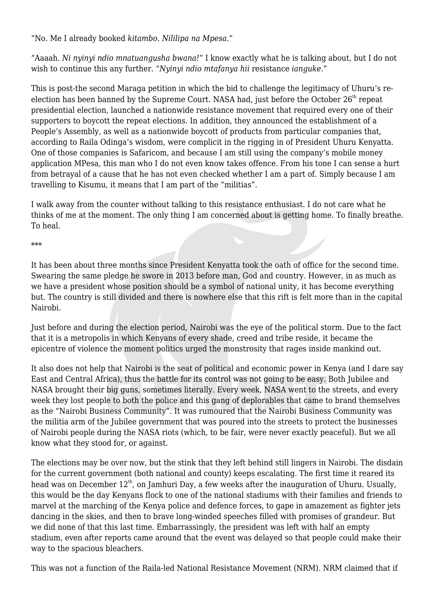"No. Me I already booked *kitambo*. *Nililipa na Mpesa."*

"Aaaah. *Ni nyinyi ndio mnatuangusha bwana!*" I know exactly what he is talking about, but I do not wish to continue this any further. "*Nyinyi ndio mtafanya hii* resistance *ianguke*."

This is post-the second Maraga petition in which the bid to challenge the legitimacy of Uhuru's reelection has been banned by the Supreme Court. NASA had, just before the October  $26<sup>th</sup>$  repeat presidential election, launched a nationwide resistance movement that required every one of their supporters to boycott the repeat elections. In addition, they announced the establishment of a People's Assembly, as well as a nationwide boycott of products from particular companies that, according to Raila Odinga's wisdom, were complicit in the rigging in of President Uhuru Kenyatta. One of those companies is Safaricom, and because I am still using the company's mobile money application MPesa, this man who I do not even know takes offence. From his tone I can sense a hurt from betrayal of a cause that he has not even checked whether I am a part of. Simply because I am travelling to Kisumu, it means that I am part of the "militias".

I walk away from the counter without talking to this resistance enthusiast. I do not care what he thinks of me at the moment. The only thing I am concerned about is getting home. To finally breathe. To heal.

## \*\*\*

It has been about three months since President Kenyatta took the oath of office for the second time. Swearing the same pledge he swore in 2013 before man, God and country. However, in as much as we have a president whose position should be a symbol of national unity, it has become everything but. The country is still divided and there is nowhere else that this rift is felt more than in the capital Nairobi.

Just before and during the election period, Nairobi was the eye of the political storm. Due to the fact that it is a metropolis in which Kenyans of every shade, creed and tribe reside, it became the epicentre of violence the moment politics urged the monstrosity that rages inside mankind out.

It also does not help that Nairobi is the seat of political and economic power in Kenya (and I dare say East and Central Africa), thus the battle for its control was not going to be easy. Both Jubilee and NASA brought their big guns, sometimes literally. Every week, NASA went to the streets, and every week they lost people to both the police and this gang of deplorables that came to brand themselves as the "Nairobi Business Community". It was rumoured that the Nairobi Business Community was the militia arm of the Jubilee government that was poured into the streets to protect the businesses of Nairobi people during the NASA riots (which, to be fair, were never exactly peaceful). But we all know what they stood for, or against.

The elections may be over now, but the stink that they left behind still lingers in Nairobi. The disdain for the current government (both national and county) keeps escalating. The first time it reared its head was on December 12<sup>th</sup>, on Jamhuri Day, a few weeks after the inauguration of Uhuru. Usually, this would be the day Kenyans flock to one of the national stadiums with their families and friends to marvel at the marching of the Kenya police and defence forces, to gape in amazement as fighter jets dancing in the skies, and then to brave long-winded speeches filled with promises of grandeur. But we did none of that this last time. Embarrassingly, the president was left with half an empty stadium, even after reports came around that the event was delayed so that people could make their way to the spacious bleachers.

This was not a function of the Raila-led National Resistance Movement (NRM). NRM claimed that if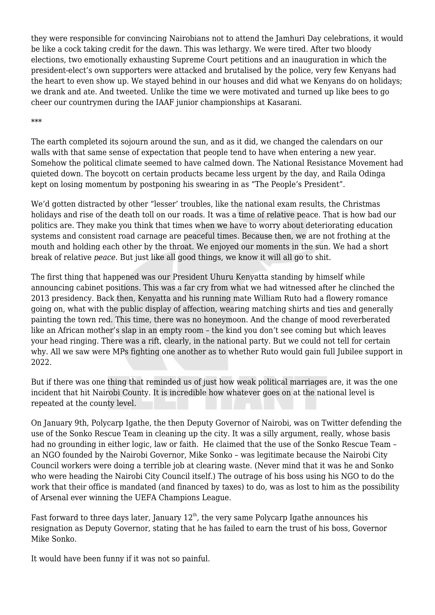they were responsible for convincing Nairobians not to attend the Jamhuri Day celebrations, it would be like a cock taking credit for the dawn. This was lethargy. We were tired. After two bloody elections, two emotionally exhausting Supreme Court petitions and an inauguration in which the president-elect's own supporters were attacked and brutalised by the police, very few Kenyans had the heart to even show up. We stayed behind in our houses and did what we Kenyans do on holidays; we drank and ate. And tweeted. Unlike the time we were motivated and turned up like bees to go cheer our countrymen during the IAAF junior championships at Kasarani.

\*\*\*

The earth completed its sojourn around the sun, and as it did, we changed the calendars on our walls with that same sense of expectation that people tend to have when entering a new year. Somehow the political climate seemed to have calmed down. The National Resistance Movement had quieted down. The boycott on certain products became less urgent by the day, and Raila Odinga kept on losing momentum by postponing his swearing in as "The People's President".

We'd gotten distracted by other "lesser' troubles, like the national exam results, the Christmas holidays and rise of the death toll on our roads. It was a time of relative peace. That is how bad our politics are. They make you think that times when we have to worry about deteriorating education systems and consistent road carnage are peaceful times. Because then, we are not frothing at the mouth and holding each other by the throat. We enjoyed our moments in the sun. We had a short break of relative *peace*. But just like all good things, we know it will all go to shit.

The first thing that happened was our President Uhuru Kenyatta standing by himself while announcing cabinet positions. This was a far cry from what we had witnessed after he clinched the 2013 presidency. Back then, Kenyatta and his running mate William Ruto had a flowery romance going on, what with the public display of affection, wearing matching shirts and ties and generally painting the town red. This time, there was no honeymoon. And the change of mood reverberated like an African mother's slap in an empty room – the kind you don't see coming but which leaves your head ringing. There was a rift, clearly, in the national party. But we could not tell for certain why. All we saw were MPs fighting one another as to whether Ruto would gain full Jubilee support in 2022.

But if there was one thing that reminded us of just how weak political marriages are, it was the one incident that hit Nairobi County. It is incredible how whatever goes on at the national level is repeated at the county level.

On January 9th, Polycarp Igathe, the then Deputy Governor of Nairobi, was on Twitter defending the use of the Sonko Rescue Team in cleaning up the city. It was a silly argument, really, whose basis had no grounding in either logic, law or faith. He claimed that the use of the Sonko Rescue Team an NGO founded by the Nairobi Governor, Mike Sonko – was legitimate because the Nairobi City Council workers were doing a terrible job at clearing waste. (Never mind that it was he and Sonko who were heading the Nairobi City Council itself.) The outrage of his boss using his NGO to do the work that their office is mandated (and financed by taxes) to do, was as lost to him as the possibility of Arsenal ever winning the UEFA Champions League.

Fast forward to three days later, January  $12<sup>th</sup>$ , the very same Polycarp Igathe announces his resignation as Deputy Governor, stating that he has failed to earn the trust of his boss, Governor Mike Sonko.

It would have been funny if it was not so painful.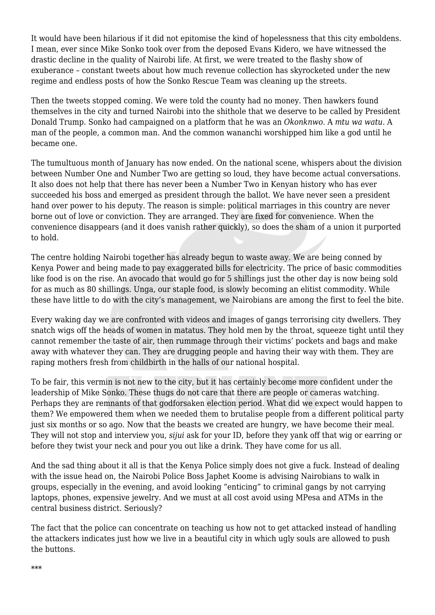It would have been hilarious if it did not epitomise the kind of hopelessness that this city emboldens. I mean, ever since Mike Sonko took over from the deposed Evans Kidero, we have witnessed the drastic decline in the quality of Nairobi life. At first, we were treated to the flashy show of exuberance – constant tweets about how much revenue collection has skyrocketed under the new regime and endless posts of how the Sonko Rescue Team was cleaning up the streets.

Then the tweets stopped coming. We were told the county had no money. Then hawkers found themselves in the city and turned Nairobi into the shithole that we deserve to be called by President Donald Trump. Sonko had campaigned on a platform that he was an *Okonknwo*. A *mtu wa watu*. A man of the people, a common man. And the common wananchi worshipped him like a god until he became one.

The tumultuous month of January has now ended. On the national scene, whispers about the division between Number One and Number Two are getting so loud, they have become actual conversations. It also does not help that there has never been a Number Two in Kenyan history who has ever succeeded his boss and emerged as president through the ballot. We have never seen a president hand over power to his deputy. The reason is simple: political marriages in this country are never borne out of love or conviction. They are arranged. They are fixed for convenience. When the convenience disappears (and it does vanish rather quickly), so does the sham of a union it purported to hold.

The centre holding Nairobi together has already begun to waste away. We are being conned by Kenya Power and being made to pay exaggerated bills for electricity. The price of basic commodities like food is on the rise. An avocado that would go for 5 shillings just the other day is now being sold for as much as 80 shillings. Unga, our staple food, is slowly becoming an elitist commodity. While these have little to do with the city's management, we Nairobians are among the first to feel the bite.

Every waking day we are confronted with videos and images of gangs terrorising city dwellers. They snatch wigs off the heads of women in matatus. They hold men by the throat, squeeze tight until they cannot remember the taste of air, then rummage through their victims' pockets and bags and make away with whatever they can. They are drugging people and having their way with them. They are raping mothers fresh from childbirth in the halls of our national hospital.

To be fair, this vermin is not new to the city, but it has certainly become more confident under the leadership of Mike Sonko. These thugs do not care that there are people or cameras watching. Perhaps they are remnants of that godforsaken election period. What did we expect would happen to them? We empowered them when we needed them to brutalise people from a different political party just six months or so ago. Now that the beasts we created are hungry, we have become their meal. They will not stop and interview you, *sijui* ask for your ID, before they yank off that wig or earring or before they twist your neck and pour you out like a drink. They have come for us all.

And the sad thing about it all is that the Kenya Police simply does not give a fuck. Instead of dealing with the issue head on, the Nairobi Police Boss Japhet Koome is advising Nairobians to walk in groups, especially in the evening, and avoid looking "enticing" to criminal gangs by not carrying laptops, phones, expensive jewelry. And we must at all cost avoid using MPesa and ATMs in the central business district. Seriously?

The fact that the police can concentrate on teaching us how not to get attacked instead of handling the attackers indicates just how we live in a beautiful city in which ugly souls are allowed to push the buttons.